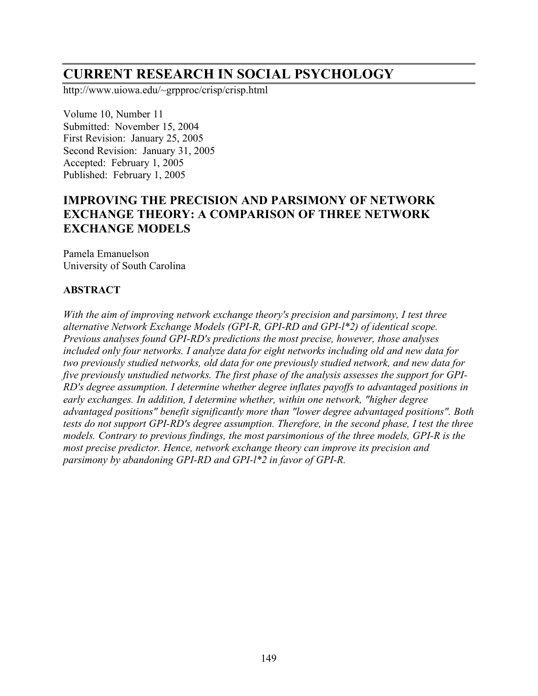# **CURRENT RESEARCH IN SOCIAL PSYCHOLOGY**

http://www.uiowa.edu/~grpproc/crisp/crisp.html

Volume 10, Number 11 Submitted: November 15, 2004 First Revision: January 25, 2005 Second Revision: January 31, 2005 Accepted: February 1, 2005 Published: February 1, 2005

# **IMPROVING THE PRECISION AND PARSIMONY OF NETWORK EXCHANGE THEORY: A COMPARISON OF THREE NETWORK EXCHANGE MODELS**

Pamela Emanuelson University of South Carolina

# **ABSTRACT**

*With the aim of improving network exchange theory's precision and parsimony, I test three alternative Network Exchange Models (GPI-R, GPI-RD and GPI-l\*2) of identical scope. Previous analyses found GPI-RD's predictions the most precise, however, those analyses included only four networks. I analyze data for eight networks including old and new data for two previously studied networks, old data for one previously studied network, and new data for five previously unstudied networks. The first phase of the analysis assesses the support for GPI-RD's degree assumption. I determine whether degree inflates payoffs to advantaged positions in early exchanges. In addition, I determine whether, within one network, "higher degree advantaged positions" benefit significantly more than "lower degree advantaged positions". Both tests do not support GPI-RD's degree assumption. Therefore, in the second phase, I test the three models. Contrary to previous findings, the most parsimonious of the three models, GPI-R is the most precise predictor. Hence, network exchange theory can improve its precision and parsimony by abandoning GPI-RD and GPI-l\*2 in favor of GPI-R.*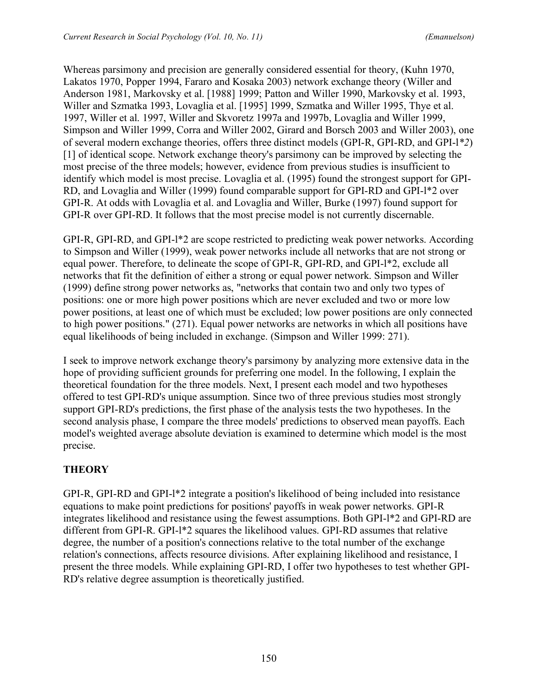Whereas parsimony and precision are generally considered essential for theory, (Kuhn 1970, Lakatos 1970, Popper 1994, Fararo and Kosaka 2003) network exchange theory (Willer and Anderson 1981, Markovsky et al. [1988] 1999; Patton and Willer 1990, Markovsky et al. 1993, Willer and Szmatka 1993, Lovaglia et al. [1995] 1999, Szmatka and Willer 1995, Thye et al. 1997, Willer et al. 1997, Willer and Skvoretz 1997a and 1997b, Lovaglia and Willer 1999, Simpson and Willer 1999, Corra and Willer 2002, Girard and Borsch 2003 and Willer 2003), one of several modern exchange theories, offers three distinct models (GPI-R, GPI-RD, and GPI-l*\*2*) [1] of identical scope. Network exchange theory's parsimony can be improved by selecting the most precise of the three models; however, evidence from previous studies is insufficient to identify which model is most precise. Lovaglia et al. (1995) found the strongest support for GPI-RD, and Lovaglia and Willer (1999) found comparable support for GPI-RD and GPI-l\*2 over GPI-R. At odds with Lovaglia et al. and Lovaglia and Willer, Burke (1997) found support for GPI-R over GPI-RD. It follows that the most precise model is not currently discernable.

GPI-R, GPI-RD, and GPI-l\*2 are scope restricted to predicting weak power networks. According to Simpson and Willer (1999), weak power networks include all networks that are not strong or equal power. Therefore, to delineate the scope of GPI-R, GPI-RD, and GPI-l\*2, exclude all networks that fit the definition of either a strong or equal power network. Simpson and Willer (1999) define strong power networks as, "networks that contain two and only two types of positions: one or more high power positions which are never excluded and two or more low power positions, at least one of which must be excluded; low power positions are only connected to high power positions." (271). Equal power networks are networks in which all positions have equal likelihoods of being included in exchange. (Simpson and Willer 1999: 271).

I seek to improve network exchange theory's parsimony by analyzing more extensive data in the hope of providing sufficient grounds for preferring one model. In the following, I explain the theoretical foundation for the three models. Next, I present each model and two hypotheses offered to test GPI-RD's unique assumption. Since two of three previous studies most strongly support GPI-RD's predictions, the first phase of the analysis tests the two hypotheses. In the second analysis phase, I compare the three models' predictions to observed mean payoffs. Each model's weighted average absolute deviation is examined to determine which model is the most precise.

# **THEORY**

GPI-R, GPI-RD and GPI-l\*2 integrate a position's likelihood of being included into resistance equations to make point predictions for positions' payoffs in weak power networks. GPI-R integrates likelihood and resistance using the fewest assumptions. Both GPI-l\*2 and GPI-RD are different from GPI-R. GPI-l\*2 squares the likelihood values. GPI-RD assumes that relative degree, the number of a position's connections relative to the total number of the exchange relation's connections, affects resource divisions. After explaining likelihood and resistance, I present the three models. While explaining GPI-RD, I offer two hypotheses to test whether GPI-RD's relative degree assumption is theoretically justified.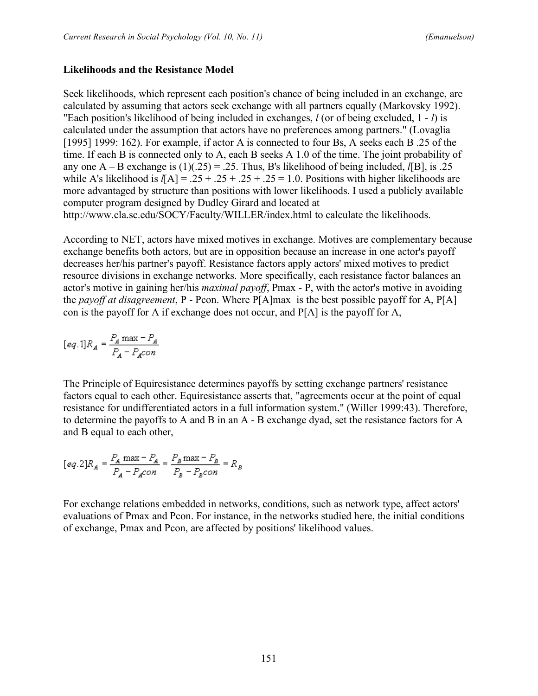### **Likelihoods and the Resistance Model**

Seek likelihoods, which represent each position's chance of being included in an exchange, are calculated by assuming that actors seek exchange with all partners equally (Markovsky 1992). "Each position's likelihood of being included in exchanges, *l* (or of being excluded, 1 - *l*) is calculated under the assumption that actors have no preferences among partners." (Lovaglia [1995] 1999: 162). For example, if actor A is connected to four Bs, A seeks each B .25 of the time. If each B is connected only to A, each B seeks A 1.0 of the time. The joint probability of any one A – B exchange is  $(1)(.25) = .25$ . Thus, B's likelihood of being included, *l*[B], is .25 while A's likelihood is  $I[A] = .25 + .25 + .25 + .25 = 1.0$ . Positions with higher likelihoods are more advantaged by structure than positions with lower likelihoods. I used a publicly available computer program designed by Dudley Girard and located at http://www.cla.sc.edu/SOCY/Faculty/WILLER/index.html to calculate the likelihoods.

According to NET, actors have mixed motives in exchange. Motives are complementary because exchange benefits both actors, but are in opposition because an increase in one actor's payoff decreases her/his partner's payoff. Resistance factors apply actors' mixed motives to predict resource divisions in exchange networks. More specifically, each resistance factor balances an actor's motive in gaining her/his *maximal payoff*, Pmax - P, with the actor's motive in avoiding the *payoff at disagreement*, P - Pcon. Where P[A]max is the best possible payoff for A, P[A] con is the payoff for A if exchange does not occur, and P[A] is the payoff for A,

$$
[eq.1]R_{A}=\frac{P_{A}\max-P_{A}}{P_{A}-P_{A}con}
$$

The Principle of Equiresistance determines payoffs by setting exchange partners' resistance factors equal to each other. Equiresistance asserts that, "agreements occur at the point of equal resistance for undifferentiated actors in a full information system." (Willer 1999:43). Therefore, to determine the payoffs to A and B in an A - B exchange dyad, set the resistance factors for A and B equal to each other,

$$
[eq.2]R_A = \frac{P_A \max - P_A}{P_A - P_A con} = \frac{P_B \max - P_B}{P_B - P_B con} = R_B
$$

For exchange relations embedded in networks, conditions, such as network type, affect actors' evaluations of Pmax and Pcon. For instance, in the networks studied here, the initial conditions of exchange, Pmax and Pcon, are affected by positions' likelihood values.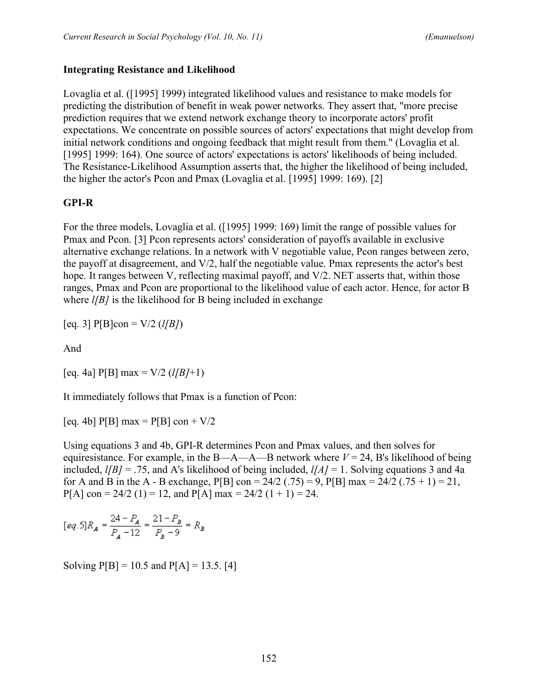#### **Integrating Resistance and Likelihood**

Lovaglia et al. ([1995] 1999) integrated likelihood values and resistance to make models for predicting the distribution of benefit in weak power networks. They assert that, "more precise prediction requires that we extend network exchange theory to incorporate actors' profit expectations. We concentrate on possible sources of actors' expectations that might develop from initial network conditions and ongoing feedback that might result from them." (Lovaglia et al. [1995] 1999: 164). One source of actors' expectations is actors' likelihoods of being included. The Resistance-Likelihood Assumption asserts that, the higher the likelihood of being included, the higher the actor's Pcon and Pmax (Lovaglia et al. [1995] 1999: 169). [2]

# **GPI-R**

For the three models, Lovaglia et al. ([1995] 1999: 169) limit the range of possible values for Pmax and Pcon. [3] Pcon represents actors' consideration of payoffs available in exclusive alternative exchange relations. In a network with V negotiable value, Pcon ranges between zero, the payoff at disagreement, and V/2, half the negotiable value. Pmax represents the actor's best hope. It ranges between V, reflecting maximal payoff, and V/2. NET asserts that, within those ranges, Pmax and Pcon are proportional to the likelihood value of each actor. Hence, for actor B where *l[B]* is the likelihood for B being included in exchange

 $[eq. 3]$  P[B]con =  $V/2$  (*l*[*B*])

And

 $[eq. 4a]$  P[B] max = V/2 ( $l/B$ /+1)

It immediately follows that Pmax is a function of Pcon:

[eq. 4b]  $P[B]$  max =  $P[B]$  con +  $V/2$ 

Using equations 3 and 4b, GPI-R determines Pcon and Pmax values, and then solves for equiresistance. For example, in the  $B-A-A-B$  network where  $V = 24$ , B's likelihood of being included, *l[B]* = .75, and A's likelihood of being included, *l[A]* = 1. Solving equations 3 and 4a for A and B in the A - B exchange, P[B] con =  $24/2$  (.75) = 9, P[B] max =  $24/2$  (.75 + 1) = 21,  $P[A]$  con = 24/2 (1) = 12, and  $P[A]$  max = 24/2 (1 + 1) = 24.

$$
[eq.5]R_{A}=\frac{24-P_{A}}{P_{A}-12}=\frac{21-P_{B}}{P_{B}-9}=R_{B}
$$

Solving  $P[B] = 10.5$  and  $P[A] = 13.5$ . [4]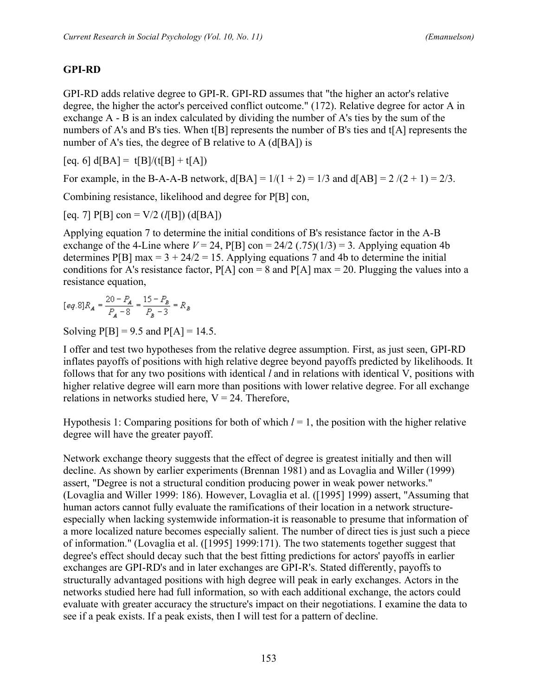# **GPI-RD**

GPI-RD adds relative degree to GPI-R. GPI-RD assumes that "the higher an actor's relative degree, the higher the actor's perceived conflict outcome." (172). Relative degree for actor A in exchange A - B is an index calculated by dividing the number of A's ties by the sum of the numbers of A's and B's ties. When t[B] represents the number of B's ties and t[A] represents the number of A's ties, the degree of B relative to A (d[BA]) is

 $[eq. 6] d[BA] = t[B]/(t[B] + t[A])$ 

For example, in the B-A-A-B network,  $d[BA] = 1/(1 + 2) = 1/3$  and  $d[AB] = 2/(2 + 1) = 2/3$ .

Combining resistance, likelihood and degree for P[B] con,

 $[eq. 7]$  P[B]  $con = V/2$  (*l*[B]) (d[BA])

Applying equation 7 to determine the initial conditions of B's resistance factor in the A-B exchange of the 4-Line where  $V = 24$ ,  $P[B]$  con  $= 24/2$  (.75)(1/3)  $= 3$ . Applying equation 4b determines P[B] max =  $3 + 24/2 = 15$ . Applying equations 7 and 4b to determine the initial conditions for A's resistance factor,  $P[A]$  con = 8 and  $P[A]$  max = 20. Plugging the values into a resistance equation,

$$
[eq.8]R_A = \frac{20 - P_A}{P_A - 8} = \frac{15 - P_B}{P_B - 3} = R_B
$$

Solving  $P[B] = 9.5$  and  $P[A] = 14.5$ .

I offer and test two hypotheses from the relative degree assumption. First, as just seen, GPI-RD inflates payoffs of positions with high relative degree beyond payoffs predicted by likelihoods. It follows that for any two positions with identical *l* and in relations with identical V, positions with higher relative degree will earn more than positions with lower relative degree. For all exchange relations in networks studied here,  $V = 24$ . Therefore,

Hypothesis 1: Comparing positions for both of which *l* = 1, the position with the higher relative degree will have the greater payoff.

Network exchange theory suggests that the effect of degree is greatest initially and then will decline. As shown by earlier experiments (Brennan 1981) and as Lovaglia and Willer (1999) assert, "Degree is not a structural condition producing power in weak power networks." (Lovaglia and Willer 1999: 186). However, Lovaglia et al. ([1995] 1999) assert, "Assuming that human actors cannot fully evaluate the ramifications of their location in a network structureespecially when lacking systemwide information-it is reasonable to presume that information of a more localized nature becomes especially salient. The number of direct ties is just such a piece of information." (Lovaglia et al. ([1995] 1999:171). The two statements together suggest that degree's effect should decay such that the best fitting predictions for actors' payoffs in earlier exchanges are GPI-RD's and in later exchanges are GPI-R's. Stated differently, payoffs to structurally advantaged positions with high degree will peak in early exchanges. Actors in the networks studied here had full information, so with each additional exchange, the actors could evaluate with greater accuracy the structure's impact on their negotiations. I examine the data to see if a peak exists. If a peak exists, then I will test for a pattern of decline.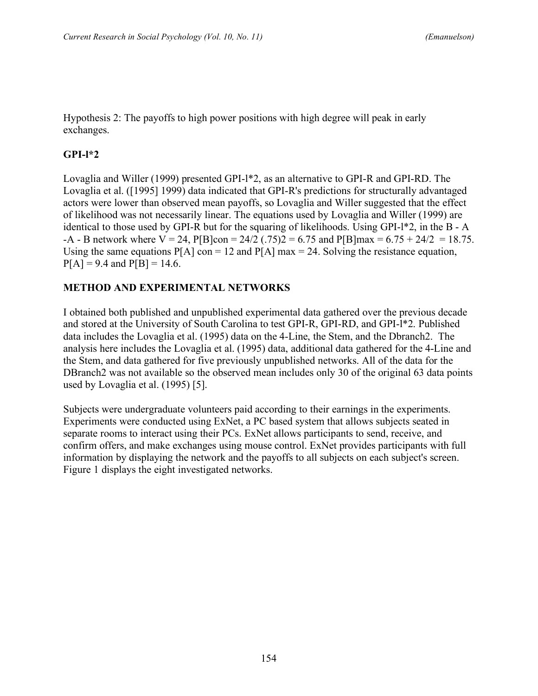Hypothesis 2: The payoffs to high power positions with high degree will peak in early exchanges.

# **GPI-l\*2**

Lovaglia and Willer (1999) presented GPI-l\*2, as an alternative to GPI-R and GPI-RD. The Lovaglia et al. ([1995] 1999) data indicated that GPI-R's predictions for structurally advantaged actors were lower than observed mean payoffs, so Lovaglia and Willer suggested that the effect of likelihood was not necessarily linear. The equations used by Lovaglia and Willer (1999) are identical to those used by GPI-R but for the squaring of likelihoods. Using GPI-l\*2, in the B - A  $-A - B$  network where  $V = 24$ ,  $P[B]$ con = 24/2 (.75)2 = 6.75 and  $P[B]$ max = 6.75 + 24/2 = 18.75. Using the same equations  $P[A]$  con = 12 and  $P[A]$  max = 24. Solving the resistance equation,  $P[A] = 9.4$  and  $P[B] = 14.6$ .

# **METHOD AND EXPERIMENTAL NETWORKS**

I obtained both published and unpublished experimental data gathered over the previous decade and stored at the University of South Carolina to test GPI-R, GPI-RD, and GPI-l\*2. Published data includes the Lovaglia et al. (1995) data on the 4-Line, the Stem, and the Dbranch2. The analysis here includes the Lovaglia et al. (1995) data, additional data gathered for the 4-Line and the Stem, and data gathered for five previously unpublished networks. All of the data for the DBranch2 was not available so the observed mean includes only 30 of the original 63 data points used by Lovaglia et al. (1995) [5].

Subjects were undergraduate volunteers paid according to their earnings in the experiments. Experiments were conducted using ExNet, a PC based system that allows subjects seated in separate rooms to interact using their PCs. ExNet allows participants to send, receive, and confirm offers, and make exchanges using mouse control. ExNet provides participants with full information by displaying the network and the payoffs to all subjects on each subject's screen. Figure 1 displays the eight investigated networks.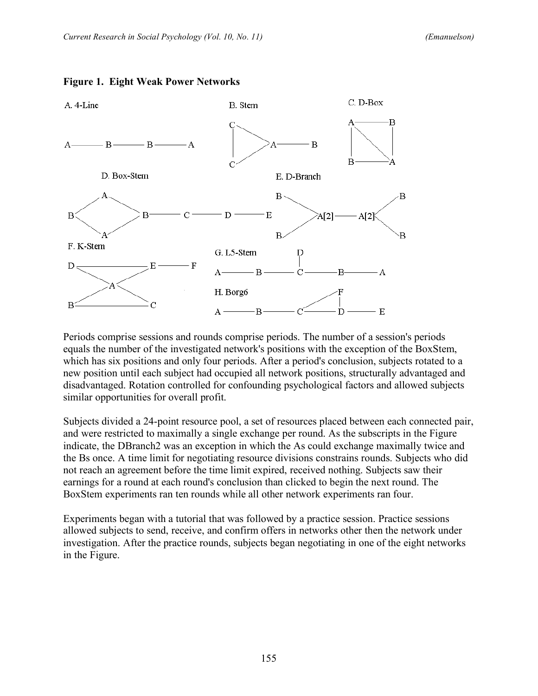

#### **Figure 1. Eight Weak Power Networks**

Periods comprise sessions and rounds comprise periods. The number of a session's periods equals the number of the investigated network's positions with the exception of the BoxStem, which has six positions and only four periods. After a period's conclusion, subjects rotated to a new position until each subject had occupied all network positions, structurally advantaged and disadvantaged. Rotation controlled for confounding psychological factors and allowed subjects similar opportunities for overall profit.

Subjects divided a 24-point resource pool, a set of resources placed between each connected pair, and were restricted to maximally a single exchange per round. As the subscripts in the Figure indicate, the DBranch2 was an exception in which the As could exchange maximally twice and the Bs once. A time limit for negotiating resource divisions constrains rounds. Subjects who did not reach an agreement before the time limit expired, received nothing. Subjects saw their earnings for a round at each round's conclusion than clicked to begin the next round. The BoxStem experiments ran ten rounds while all other network experiments ran four.

Experiments began with a tutorial that was followed by a practice session. Practice sessions allowed subjects to send, receive, and confirm offers in networks other then the network under investigation. After the practice rounds, subjects began negotiating in one of the eight networks in the Figure.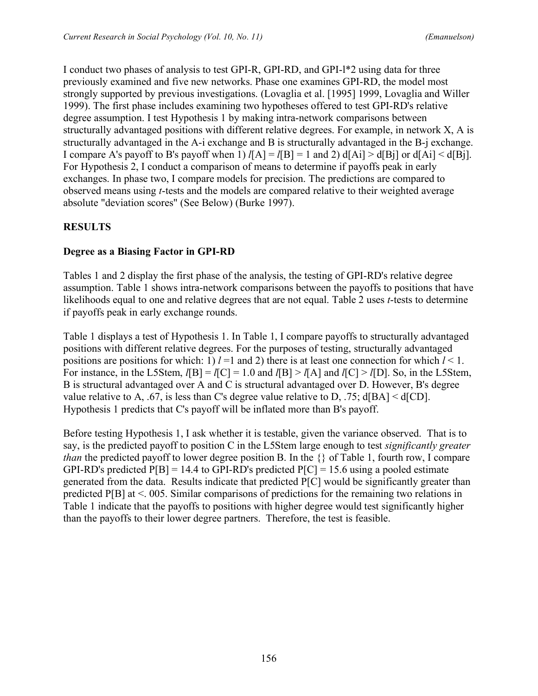I conduct two phases of analysis to test GPI-R, GPI-RD, and GPI-l\*2 using data for three previously examined and five new networks. Phase one examines GPI-RD, the model most strongly supported by previous investigations. (Lovaglia et al. [1995] 1999, Lovaglia and Willer 1999). The first phase includes examining two hypotheses offered to test GPI-RD's relative degree assumption. I test Hypothesis 1 by making intra-network comparisons between structurally advantaged positions with different relative degrees. For example, in network X, A is structurally advantaged in the A-i exchange and B is structurally advantaged in the B-j exchange. I compare A's payoff to B's payoff when 1)  $I[A] = I[B] = 1$  and 2)  $d[Ai] > d[Bj]$  or  $d[Ai] < d[Bj]$ . For Hypothesis 2, I conduct a comparison of means to determine if payoffs peak in early exchanges. In phase two, I compare models for precision. The predictions are compared to observed means using *t*-tests and the models are compared relative to their weighted average absolute "deviation scores" (See Below) (Burke 1997).

# **RESULTS**

### **Degree as a Biasing Factor in GPI-RD**

Tables 1 and 2 display the first phase of the analysis, the testing of GPI-RD's relative degree assumption. Table 1 shows intra-network comparisons between the payoffs to positions that have likelihoods equal to one and relative degrees that are not equal. Table 2 uses *t*-tests to determine if payoffs peak in early exchange rounds.

Table 1 displays a test of Hypothesis 1. In Table 1, I compare payoffs to structurally advantaged positions with different relative degrees. For the purposes of testing, structurally advantaged positions are positions for which: 1)  $l = 1$  and 2) there is at least one connection for which  $l \le 1$ . For instance, in the L5Stem,  $l[B] = l[C] = 1.0$  and  $l[B] > l[A]$  and  $l[C] > l[D]$ . So, in the L5Stem, B is structural advantaged over A and C is structural advantaged over D. However, B's degree value relative to A, .67, is less than C's degree value relative to D, .75; d[BA] < d[CD]. Hypothesis 1 predicts that C's payoff will be inflated more than B's payoff.

Before testing Hypothesis 1, I ask whether it is testable, given the variance observed. That is to say, is the predicted payoff to position C in the L5Stem large enough to test *significantly greater than* the predicted payoff to lower degree position B. In the  $\{\}$  of Table 1, fourth row, I compare GPI-RD's predicted  $P[B] = 14.4$  to GPI-RD's predicted  $P[C] = 15.6$  using a pooled estimate generated from the data. Results indicate that predicted P[C] would be significantly greater than predicted P[B] at <. 005. Similar comparisons of predictions for the remaining two relations in Table 1 indicate that the payoffs to positions with higher degree would test significantly higher than the payoffs to their lower degree partners. Therefore, the test is feasible.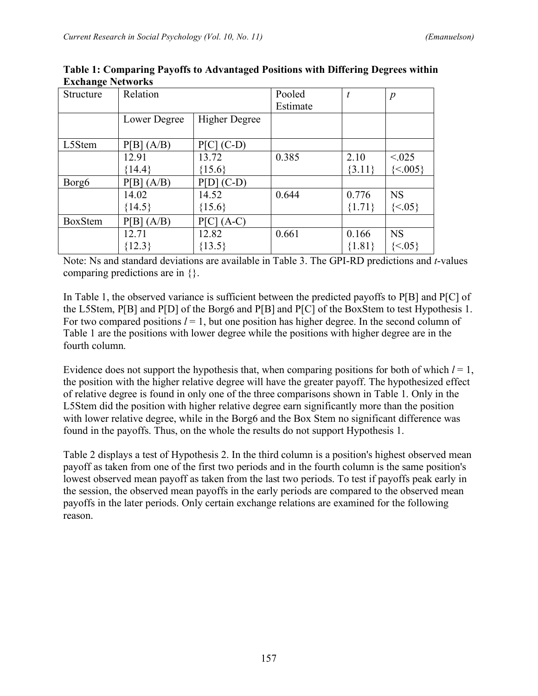| Structure         | Relation     |                        | Pooled   | t        | $\boldsymbol{p}$ |
|-------------------|--------------|------------------------|----------|----------|------------------|
|                   |              |                        | Estimate |          |                  |
|                   | Lower Degree | <b>Higher Degree</b>   |          |          |                  |
| L5Stem            | P[B] (A/B)   | $P[C]$ (C-D)           |          |          |                  |
|                   | 12.91        | 13.72                  | 0.385    | 2.10     | < 0.025          |
|                   | ${14.4}$     | ${15.6}$               |          | ${3.11}$ | $\{<005\}$       |
| Borg <sub>6</sub> | P[B] (A/B)   | $P[D]$ (C-D)           |          |          |                  |
|                   | 14.02        | 14.52                  | 0.644    | 0.776    | <b>NS</b>        |
|                   | ${14.5}$     | ${15.6}$               |          | ${1.71}$ | $\{<05\}$        |
| <b>BoxStem</b>    | P[B] (A/B)   | <b>P[C]</b><br>$(A-C)$ |          |          |                  |
|                   | 12.71        | 12.82                  | 0.661    | 0.166    | <b>NS</b>        |
|                   | ${12.3}$     | ${13.5}$               |          | ${1.81}$ | $\{<05\}$        |

**Table 1: Comparing Payoffs to Advantaged Positions with Differing Degrees within Exchange Networks**

Note: Ns and standard deviations are available in Table 3. The GPI-RD predictions and *t*-values comparing predictions are in {}.

In Table 1, the observed variance is sufficient between the predicted payoffs to P[B] and P[C] of the L5Stem, P[B] and P[D] of the Borg6 and P[B] and P[C] of the BoxStem to test Hypothesis 1. For two compared positions  $l = 1$ , but one position has higher degree. In the second column of Table 1 are the positions with lower degree while the positions with higher degree are in the fourth column.

Evidence does not support the hypothesis that, when comparing positions for both of which  $l = 1$ , the position with the higher relative degree will have the greater payoff. The hypothesized effect of relative degree is found in only one of the three comparisons shown in Table 1. Only in the L5Stem did the position with higher relative degree earn significantly more than the position with lower relative degree, while in the Borg6 and the Box Stem no significant difference was found in the payoffs. Thus, on the whole the results do not support Hypothesis 1.

Table 2 displays a test of Hypothesis 2. In the third column is a position's highest observed mean payoff as taken from one of the first two periods and in the fourth column is the same position's lowest observed mean payoff as taken from the last two periods. To test if payoffs peak early in the session, the observed mean payoffs in the early periods are compared to the observed mean payoffs in the later periods. Only certain exchange relations are examined for the following reason.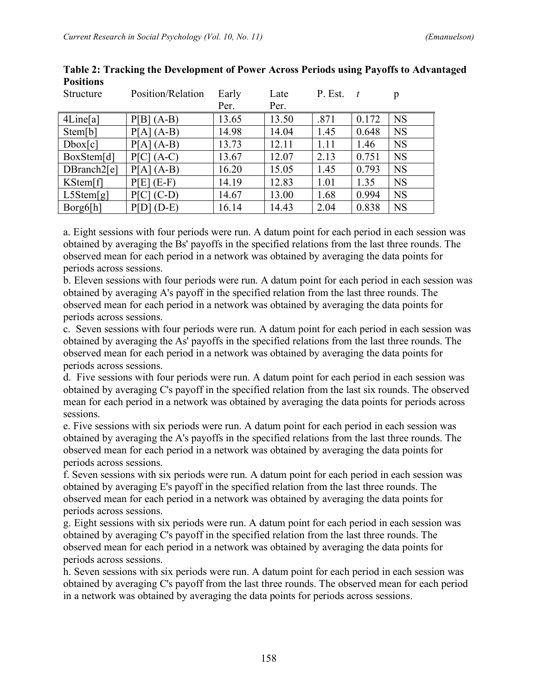| Structure   | Position/Relation | Early | Late  | P. Est. |       | p         |
|-------------|-------------------|-------|-------|---------|-------|-----------|
|             |                   | Per.  | Per.  |         |       |           |
| 4Line[a]    | $P[B] (A-B)$      | 13.65 | 13.50 | .871    | 0.172 | <b>NS</b> |
| Stem[b]     | $P[A] (A-B)$      | 14.98 | 14.04 | 1.45    | 0.648 | <b>NS</b> |
| Dbox[c]     | $P[A](A-B)$       | 13.73 | 12.11 | 1.11    | 1.46  | <b>NS</b> |
| BoxStem[d]  | $P[C] (A-C)$      | 13.67 | 12.07 | 2.13    | 0.751 | <b>NS</b> |
| DBranch2[e] | $P[A](A-B)$       | 16.20 | 15.05 | 1.45    | 0.793 | <b>NS</b> |
| KStem[f]    | $P[E]$ (E-F)      | 14.19 | 12.83 | 1.01    | 1.35  | <b>NS</b> |
| L5Stem[g]   | $P[C] (C-D)$      | 14.67 | 13.00 | 1.68    | 0.994 | <b>NS</b> |
| Borg6[h]    | $P[D] (D-E)$      | 16.14 | 14.43 | 2.04    | 0.838 | <b>NS</b> |

**Table 2: Tracking the Development of Power Across Periods using Payoffs to Advantaged Positions**

a. Eight sessions with four periods were run. A datum point for each period in each session was obtained by averaging the Bs' payoffs in the specified relations from the last three rounds. The observed mean for each period in a network was obtained by averaging the data points for periods across sessions.

b. Eleven sessions with four periods were run. A datum point for each period in each session was obtained by averaging A's payoff in the specified relation from the last three rounds. The observed mean for each period in a network was obtained by averaging the data points for periods across sessions.

c. Seven sessions with four periods were run. A datum point for each period in each session was obtained by averaging the As' payoffs in the specified relations from the last three rounds. The observed mean for each period in a network was obtained by averaging the data points for periods across sessions.

d. Five sessions with four periods were run. A datum point for each period in each session was obtained by averaging C's payoff in the specified relation from the last six rounds. The observed mean for each period in a network was obtained by averaging the data points for periods across sessions.

e. Five sessions with six periods were run. A datum point for each period in each session was obtained by averaging the A's payoffs in the specified relations from the last three rounds. The observed mean for each period in a network was obtained by averaging the data points for periods across sessions.

f. Seven sessions with six periods were run. A datum point for each period in each session was obtained by averaging E's payoff in the specified relation from the last three rounds. The observed mean for each period in a network was obtained by averaging the data points for periods across sessions.

g. Eight sessions with six periods were run. A datum point for each period in each session was obtained by averaging C's payoff in the specified relation from the last three rounds. The observed mean for each period in a network was obtained by averaging the data points for periods across sessions.

h. Seven sessions with six periods were run. A datum point for each period in each session was obtained by averaging C's payoff from the last three rounds. The observed mean for each period in a network was obtained by averaging the data points for periods across sessions.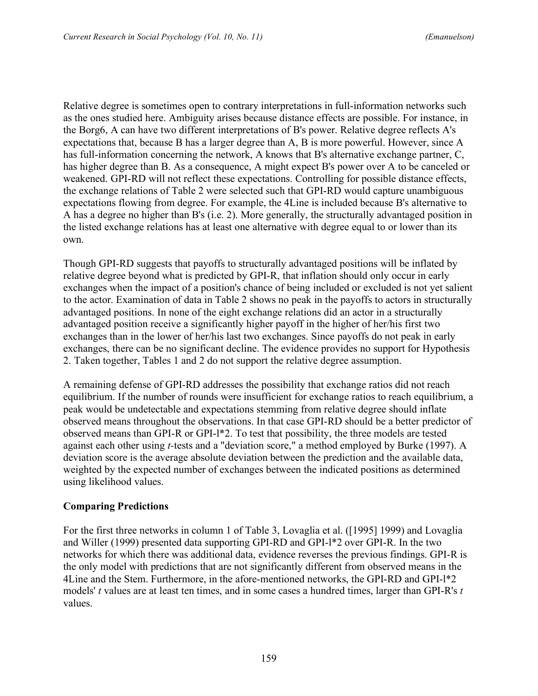Relative degree is sometimes open to contrary interpretations in full-information networks such as the ones studied here. Ambiguity arises because distance effects are possible. For instance, in the Borg6, A can have two different interpretations of B's power. Relative degree reflects A's expectations that, because B has a larger degree than A, B is more powerful. However, since A has full-information concerning the network, A knows that B's alternative exchange partner, C, has higher degree than B. As a consequence, A might expect B's power over A to be canceled or weakened. GPI-RD will not reflect these expectations. Controlling for possible distance effects, the exchange relations of Table 2 were selected such that GPI-RD would capture unambiguous expectations flowing from degree. For example, the 4Line is included because B's alternative to A has a degree no higher than B's (i.e. 2). More generally, the structurally advantaged position in the listed exchange relations has at least one alternative with degree equal to or lower than its own.

Though GPI-RD suggests that payoffs to structurally advantaged positions will be inflated by relative degree beyond what is predicted by GPI-R, that inflation should only occur in early exchanges when the impact of a position's chance of being included or excluded is not yet salient to the actor. Examination of data in Table 2 shows no peak in the payoffs to actors in structurally advantaged positions. In none of the eight exchange relations did an actor in a structurally advantaged position receive a significantly higher payoff in the higher of her/his first two exchanges than in the lower of her/his last two exchanges. Since payoffs do not peak in early exchanges, there can be no significant decline. The evidence provides no support for Hypothesis 2. Taken together, Tables 1 and 2 do not support the relative degree assumption.

A remaining defense of GPI-RD addresses the possibility that exchange ratios did not reach equilibrium. If the number of rounds were insufficient for exchange ratios to reach equilibrium, a peak would be undetectable and expectations stemming from relative degree should inflate observed means throughout the observations. In that case GPI-RD should be a better predictor of observed means than GPI-R or GPI-l\*2. To test that possibility, the three models are tested against each other using *t-*tests and a "deviation score," a method employed by Burke (1997). A deviation score is the average absolute deviation between the prediction and the available data, weighted by the expected number of exchanges between the indicated positions as determined using likelihood values.

# **Comparing Predictions**

For the first three networks in column 1 of Table 3, Lovaglia et al. ([1995] 1999) and Lovaglia and Willer (1999) presented data supporting GPI-RD and GPI-l\*2 over GPI-R. In the two networks for which there was additional data, evidence reverses the previous findings. GPI-R is the only model with predictions that are not significantly different from observed means in the 4Line and the Stem. Furthermore, in the afore-mentioned networks, the GPI-RD and GPI-l\*2 models' *t* values are at least ten times, and in some cases a hundred times, larger than GPI-R's *t* values.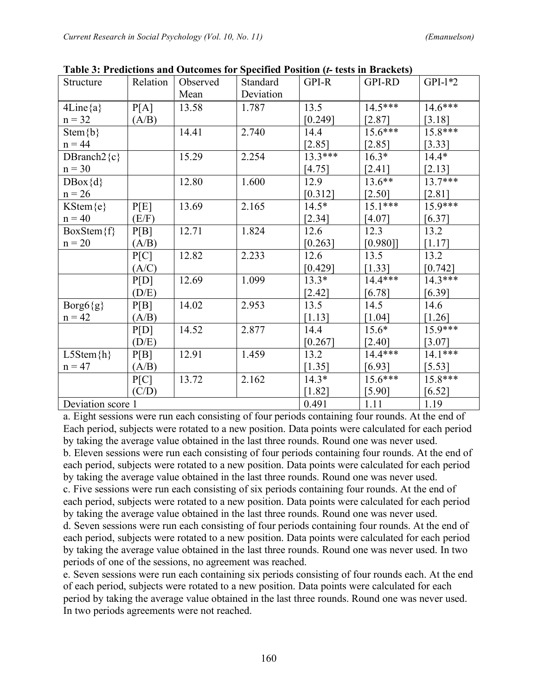|                   |          | radic of Freuntholls and Outcomes for Specified Fostfold (Presis in Draences) |           |           |               |           |
|-------------------|----------|-------------------------------------------------------------------------------|-----------|-----------|---------------|-----------|
| Structure         | Relation | Observed                                                                      | Standard  | GPI-R     | <b>GPI-RD</b> | $GPI-1*2$ |
|                   |          | Mean                                                                          | Deviation |           |               |           |
| $4Line{a}$        | P[A]     | 13.58                                                                         | 1.787     | 13.5      | $14.5***$     | 14.6***   |
| $n = 32$          | (A/B)    |                                                                               |           | [0.249]   | $2.87$ ]      | $[3.18]$  |
| Stem ${b}$        |          | 14.41                                                                         | 2.740     | 14.4      | $15.6***$     | 15.8***   |
| $n = 44$          |          |                                                                               |           | $[2.85]$  | $[2.85]$      | [3.33]    |
| DBranch $2\{c\}$  |          | 15.29                                                                         | 2.254     | $13.3***$ | $16.3*$       | $14.4*$   |
| $n = 30$          |          |                                                                               |           | [4.75]    | [2.41]        | [2.13]    |
| $DBox{d}$         |          | 12.80                                                                         | 1.600     | 12.9      | $13.6**$      | 13.7***   |
| $n = 26$          |          |                                                                               |           | $[0.312]$ | $[2.50]$      | $[2.81]$  |
| KStem{e}          | P[E]     | 13.69                                                                         | 2.165     | $14.5*$   | $15.1***$     | 15.9***   |
| $n = 40$          | (E/F)    |                                                                               |           | $[2.34]$  | $[4.07]$      | [6.37]    |
| $BoxStem{f}$      | P[B]     | 12.71                                                                         | 1.824     | 12.6      | 12.3          | 13.2      |
| $n = 20$          | (A/B)    |                                                                               |           | [0.263]   | [0.980]       | [1.17]    |
|                   | P[C]     | 12.82                                                                         | 2.233     | 12.6      | 13.5          | 13.2      |
|                   | (A/C)    |                                                                               |           | [0.429]   | [1.33]        | [0.742]   |
|                   | P[D]     | 12.69                                                                         | 1.099     | $13.3*$   | 14.4***       | 14.3***   |
|                   | (D/E)    |                                                                               |           | $[2.42]$  | [6.78]        | [6.39]    |
| $Borg6{g}$        | P[B]     | 14.02                                                                         | 2.953     | 13.5      | 14.5          | 14.6      |
| $n = 42$          | (A/B)    |                                                                               |           | [1.13]    | $[1.04]$      | $[1.26]$  |
|                   | P[D]     | 14.52                                                                         | 2.877     | 14.4      | $15.6*$       | 15.9***   |
|                   | (D/E)    |                                                                               |           | [0.267]   | [2.40]        | [3.07]    |
| $L5Stem\{h\}$     | P[B]     | 12.91                                                                         | 1.459     | 13.2      | 14.4***       | $14.1***$ |
| $n = 47$          | (A/B)    |                                                                               |           | $[1.35]$  | [6.93]        | [5.53]    |
|                   | P[C]     | 13.72                                                                         | 2.162     | $14.3*$   | 15.6***       | 15.8***   |
|                   | (C/D)    |                                                                               |           | $[1.82]$  | $[5.90]$      | [6.52]    |
| Deviation score 1 |          |                                                                               |           | 0.491     | 1.11          | 1.19      |

**Table 3: Predictions and Outcomes for Specified Position (***t-* **tests in Brackets)**

a. Eight sessions were run each consisting of four periods containing four rounds. At the end of Each period, subjects were rotated to a new position. Data points were calculated for each period by taking the average value obtained in the last three rounds. Round one was never used. b. Eleven sessions were run each consisting of four periods containing four rounds. At the end of each period, subjects were rotated to a new position. Data points were calculated for each period by taking the average value obtained in the last three rounds. Round one was never used. c. Five sessions were run each consisting of six periods containing four rounds. At the end of

each period, subjects were rotated to a new position. Data points were calculated for each period by taking the average value obtained in the last three rounds. Round one was never used.

d. Seven sessions were run each consisting of four periods containing four rounds. At the end of each period, subjects were rotated to a new position. Data points were calculated for each period by taking the average value obtained in the last three rounds. Round one was never used. In two periods of one of the sessions, no agreement was reached.

e. Seven sessions were run each containing six periods consisting of four rounds each. At the end of each period, subjects were rotated to a new position. Data points were calculated for each period by taking the average value obtained in the last three rounds. Round one was never used. In two periods agreements were not reached.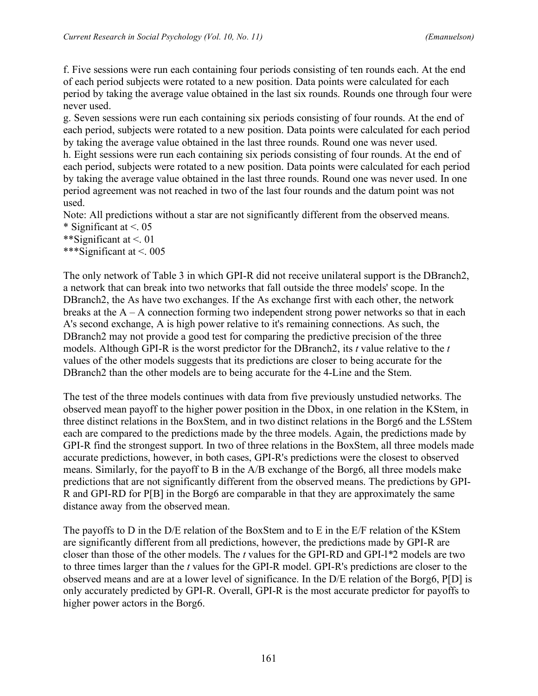f. Five sessions were run each containing four periods consisting of ten rounds each. At the end of each period subjects were rotated to a new position. Data points were calculated for each period by taking the average value obtained in the last six rounds. Rounds one through four were never used.

g. Seven sessions were run each containing six periods consisting of four rounds. At the end of each period, subjects were rotated to a new position. Data points were calculated for each period by taking the average value obtained in the last three rounds. Round one was never used. h. Eight sessions were run each containing six periods consisting of four rounds. At the end of each period, subjects were rotated to a new position. Data points were calculated for each period by taking the average value obtained in the last three rounds. Round one was never used. In one period agreement was not reached in two of the last four rounds and the datum point was not used.

Note: All predictions without a star are not significantly different from the observed means. \* Significant at  $\leq$  05

\*\*Significant at <. 01

\*\*\*Significant at <. 005

The only network of Table 3 in which GPI-R did not receive unilateral support is the DBranch2, a network that can break into two networks that fall outside the three models' scope. In the DBranch2, the As have two exchanges. If the As exchange first with each other, the network breaks at the  $A - A$  connection forming two independent strong power networks so that in each A's second exchange, A is high power relative to it's remaining connections. As such, the DBranch2 may not provide a good test for comparing the predictive precision of the three models. Although GPI-R is the worst predictor for the DBranch2, its *t* value relative to the *t* values of the other models suggests that its predictions are closer to being accurate for the DBranch2 than the other models are to being accurate for the 4-Line and the Stem.

The test of the three models continues with data from five previously unstudied networks. The observed mean payoff to the higher power position in the Dbox, in one relation in the KStem, in three distinct relations in the BoxStem, and in two distinct relations in the Borg6 and the L5Stem each are compared to the predictions made by the three models. Again, the predictions made by GPI-R find the strongest support. In two of three relations in the BoxStem, all three models made accurate predictions, however, in both cases, GPI-R's predictions were the closest to observed means. Similarly, for the payoff to B in the A/B exchange of the Borg6, all three models make predictions that are not significantly different from the observed means. The predictions by GPI-R and GPI-RD for P[B] in the Borg6 are comparable in that they are approximately the same distance away from the observed mean.

The payoffs to D in the D/E relation of the BoxStem and to E in the E/F relation of the KStem are significantly different from all predictions, however, the predictions made by GPI-R are closer than those of the other models. The *t* values for the GPI-RD and GPI-l*\**2 models are two to three times larger than the *t* values for the GPI-R model. GPI-R's predictions are closer to the observed means and are at a lower level of significance. In the D/E relation of the Borg6, P[D] is only accurately predicted by GPI-R. Overall, GPI-R is the most accurate predictor for payoffs to higher power actors in the Borg6.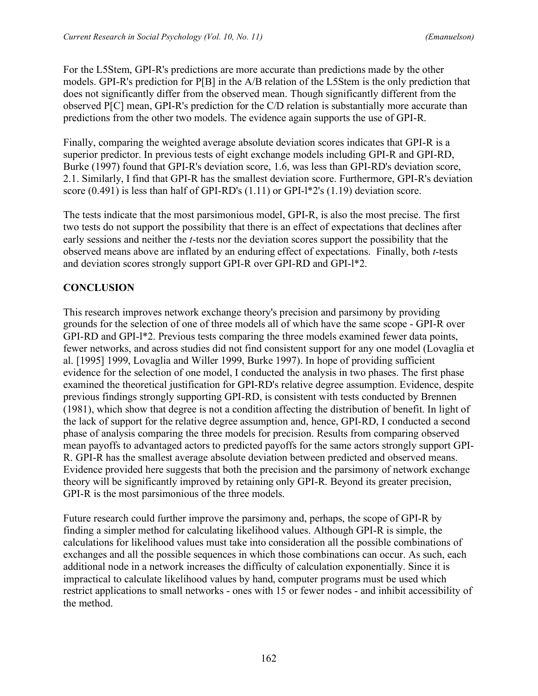For the L5Stem, GPI-R's predictions are more accurate than predictions made by the other models. GPI-R's prediction for P[B] in the A/B relation of the L5Stem is the only prediction that does not significantly differ from the observed mean. Though significantly different from the observed P[C] mean, GPI-R's prediction for the C/D relation is substantially more accurate than predictions from the other two models. The evidence again supports the use of GPI-R.

Finally, comparing the weighted average absolute deviation scores indicates that GPI-R is a superior predictor. In previous tests of eight exchange models including GPI-R and GPI-RD, Burke (1997) found that GPI-R's deviation score, 1.6, was less than GPI-RD's deviation score, 2.1. Similarly, I find that GPI-R has the smallest deviation score. Furthermore, GPI-R's deviation score  $(0.491)$  is less than half of GPI-RD's  $(1.11)$  or GPI-l\*2's  $(1.19)$  deviation score.

The tests indicate that the most parsimonious model, GPI-R, is also the most precise. The first two tests do not support the possibility that there is an effect of expectations that declines after early sessions and neither the *t*-tests nor the deviation scores support the possibility that the observed means above are inflated by an enduring effect of expectations. Finally, both *t*-tests and deviation scores strongly support GPI-R over GPI-RD and GPI-l\*2.

# **CONCLUSION**

This research improves network exchange theory's precision and parsimony by providing grounds for the selection of one of three models all of which have the same scope - GPI-R over GPI-RD and GPI-l\*2. Previous tests comparing the three models examined fewer data points, fewer networks, and across studies did not find consistent support for any one model (Lovaglia et al. [1995] 1999, Lovaglia and Willer 1999, Burke 1997). In hope of providing sufficient evidence for the selection of one model, I conducted the analysis in two phases. The first phase examined the theoretical justification for GPI-RD's relative degree assumption. Evidence, despite previous findings strongly supporting GPI-RD, is consistent with tests conducted by Brennen (1981), which show that degree is not a condition affecting the distribution of benefit. In light of the lack of support for the relative degree assumption and, hence, GPI-RD, I conducted a second phase of analysis comparing the three models for precision. Results from comparing observed mean payoffs to advantaged actors to predicted payoffs for the same actors strongly support GPI-R. GPI-R has the smallest average absolute deviation between predicted and observed means. Evidence provided here suggests that both the precision and the parsimony of network exchange theory will be significantly improved by retaining only GPI-R. Beyond its greater precision, GPI-R is the most parsimonious of the three models.

Future research could further improve the parsimony and, perhaps, the scope of GPI-R by finding a simpler method for calculating likelihood values. Although GPI-R is simple, the calculations for likelihood values must take into consideration all the possible combinations of exchanges and all the possible sequences in which those combinations can occur. As such, each additional node in a network increases the difficulty of calculation exponentially. Since it is impractical to calculate likelihood values by hand, computer programs must be used which restrict applications to small networks - ones with 15 or fewer nodes - and inhibit accessibility of the method.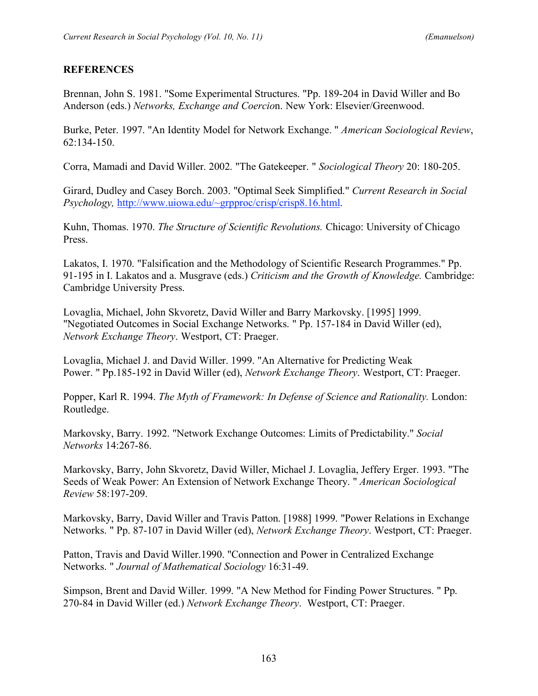# **REFERENCES**

Brennan, John S. 1981. "Some Experimental Structures. "Pp. 189-204 in David Willer and Bo Anderson (eds.) *Networks, Exchange and Coercio*n. New York: Elsevier/Greenwood.

Burke, Peter. 1997. "An Identity Model for Network Exchange. " *American Sociological Review*, 62:134-150.

Corra, Mamadi and David Willer. 2002. "The Gatekeeper. " *Sociological Theory* 20: 180-205.

Girard, Dudley and Casey Borch. 2003. "Optimal Seek Simplified." *Current Research in Social Psychology,* http://www.uiowa.edu/~grpproc/crisp/crisp8.16.html.

Kuhn, Thomas. 1970. *The Structure of Scientific Revolutions.* Chicago: University of Chicago Press.

Lakatos, I. 1970. "Falsification and the Methodology of Scientific Research Programmes." Pp. 91-195 in I. Lakatos and a. Musgrave (eds.) *Criticism and the Growth of Knowledge.* Cambridge: Cambridge University Press.

Lovaglia, Michael, John Skvoretz, David Willer and Barry Markovsky. [1995] 1999. "Negotiated Outcomes in Social Exchange Networks. " Pp. 157-184 in David Willer (ed), *Network Exchange Theory*. Westport, CT: Praeger.

Lovaglia, Michael J. and David Willer. 1999. "An Alternative for Predicting Weak Power. " Pp.185-192 in David Willer (ed), *Network Exchange Theory*. Westport, CT: Praeger.

Popper, Karl R. 1994. *The Myth of Framework: In Defense of Science and Rationality.* London: Routledge.

Markovsky, Barry. 1992. "Network Exchange Outcomes: Limits of Predictability." *Social Networks* 14:267-86.

Markovsky, Barry, John Skvoretz, David Willer, Michael J. Lovaglia, Jeffery Erger. 1993. "The Seeds of Weak Power: An Extension of Network Exchange Theory. " *American Sociological Review* 58:197-209.

Markovsky, Barry, David Willer and Travis Patton. [1988] 1999. "Power Relations in Exchange Networks. " Pp. 87-107 in David Willer (ed), *Network Exchange Theory*. Westport, CT: Praeger.

Patton, Travis and David Willer.1990. "Connection and Power in Centralized Exchange Networks. " *Journal of Mathematical Sociology* 16:31-49.

Simpson, Brent and David Willer. 1999. "A New Method for Finding Power Structures. " Pp. 270-84 in David Willer (ed.) *Network Exchange Theory*. Westport, CT: Praeger.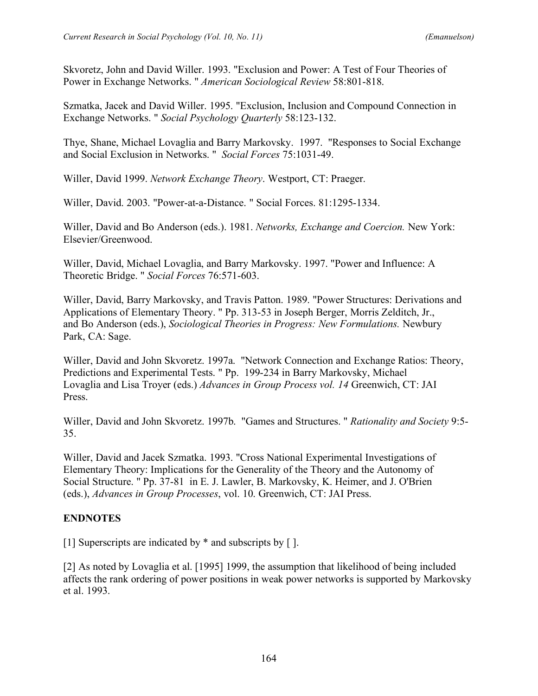Skvoretz, John and David Willer. 1993. "Exclusion and Power: A Test of Four Theories of Power in Exchange Networks. " *American Sociological Review* 58:801-818.

Szmatka, Jacek and David Willer. 1995. "Exclusion, Inclusion and Compound Connection in Exchange Networks. " *Social Psychology Quarterly* 58:123-132.

Thye, Shane, Michael Lovaglia and Barry Markovsky. 1997. "Responses to Social Exchange and Social Exclusion in Networks. " *Social Forces* 75:1031-49.

Willer, David 1999. *Network Exchange Theory*. Westport, CT: Praeger.

Willer, David. 2003. "Power-at-a-Distance. " Social Forces. 81:1295-1334.

Willer, David and Bo Anderson (eds.). 1981. *Networks, Exchange and Coercion.* New York: Elsevier/Greenwood.

Willer, David, Michael Lovaglia, and Barry Markovsky. 1997. "Power and Influence: A Theoretic Bridge. " *Social Forces* 76:571-603.

Willer, David, Barry Markovsky, and Travis Patton. 1989. "Power Structures: Derivations and Applications of Elementary Theory. " Pp. 313-53 in Joseph Berger, Morris Zelditch, Jr., and Bo Anderson (eds.), *Sociological Theories in Progress: New Formulations.* Newbury Park, CA: Sage.

Willer, David and John Skvoretz. 1997a. "Network Connection and Exchange Ratios: Theory, Predictions and Experimental Tests. " Pp. 199-234 in Barry Markovsky, Michael Lovaglia and Lisa Troyer (eds.) *Advances in Group Process vol. 14* Greenwich, CT: JAI Press.

Willer, David and John Skvoretz. 1997b. "Games and Structures. " *Rationality and Society* 9:5- 35.

Willer, David and Jacek Szmatka. 1993. "Cross National Experimental Investigations of Elementary Theory: Implications for the Generality of the Theory and the Autonomy of Social Structure. " Pp. 37-81 in E. J. Lawler, B. Markovsky, K. Heimer, and J. O'Brien (eds.), *Advances in Group Processes*, vol. 10. Greenwich, CT: JAI Press.

# **ENDNOTES**

[1] Superscripts are indicated by \* and subscripts by [ ].

[2] As noted by Lovaglia et al. [1995] 1999, the assumption that likelihood of being included affects the rank ordering of power positions in weak power networks is supported by Markovsky et al. 1993.